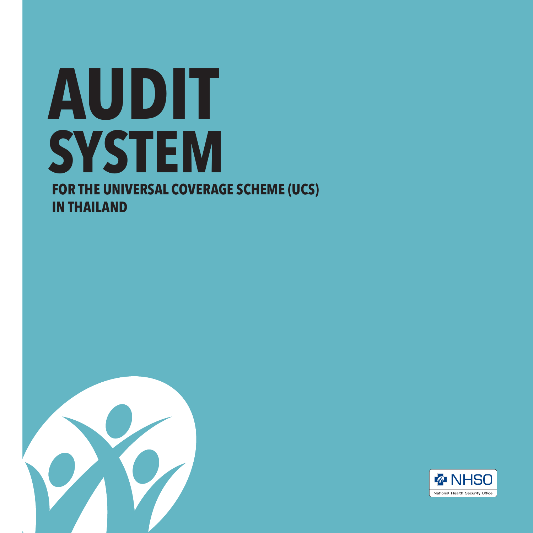## **FOR THE UNIVERSAL COVERAGE SCHEME (UCS) IN THAILAND AUDIT SYSTEM**



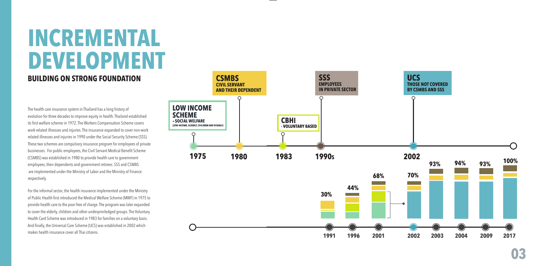## **INCREMENTAL DEVELOPMENT**

### **BUILDING ON STRONG FOUNDATION**

The health care insurance system in Thailand has a long history of evolution for three decades to improve equity in health. Thailand established its first welfare scheme in 1972. The Workers Compensation Scheme covers work-related illnesses and injuries. The insurance expanded to cover non-work related illnesses and injuries in 1990 under the Social Security Scheme (SSS). These two schemes are compulsory insurance program for employees of private businesses. For public employees, the Civil Servant Medical Benefit Scheme (CSMBS) was established in 1980 to provide health care to government employees, their dependents and government retirees. SSS and CSMBS are implemented under the Ministry of Labor and the Ministry of Finance respectively.

For the informal sector, the health insurance implemented under the Ministry of Public Health first introduced the Medical Welfare Scheme (MWF) in 1975 to provide health care to the poor free of charge. The program was later expanded to cover the elderly, children and other underpriviledged groups. The Voluntary Health Card Scheme was introduced in 1983 for families on a voluntary basis. And finally, the Universal Care Scheme (UCS) was established in 2002 which makes health insurance cover all Thai citizens.

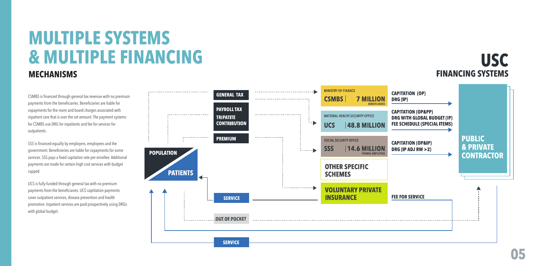## **MULTIPLE SYSTEMS & MULTIPLE FINANCING**

### **MECHANISMS**

CSMBS is financed through general tax revenue with no premium payments from the beneficiaries. Beneficiaries are liable for copayments for the room and board charges associated with inpatient care that is over the set amount. The payment systems for CSMBS use DRG for inpatients and fee for services for outpatients.

SSS is financed equally by employers, employees and the government. Beneficieries are liable for copayments for some services. SSS pays a fixed capitation rate per enrollee. Additional payments are made for certain high cost services with budget capped.

UCS is fully funded through general tax with no premium payments from the beneficiaries. UCS captitation payments cover outpatient services, disease prevention and health promotion. Inpatient services are paid prospectively using DRGs with global budget.



**USC**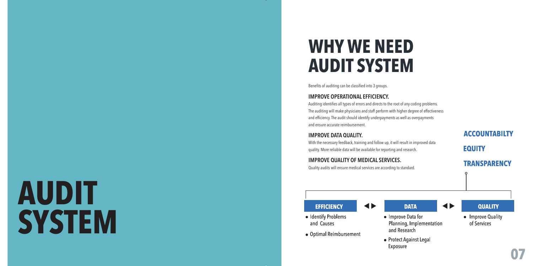## **WHY WE NEED AUDIT SYSTEM**

Benefits of auditing can be classified into 3 groups.

### **IMPROVE OPERATIONAL EFFICIENCY.**

Auditing identifies all types of errors and directs to the root of any coding problems. The auditing will make physicians and staff perform with higher degree of effectiveness and efficiency. The audit should identify underpayments as well as overpayments and ensure accurate reimbursement.

### **IMPROVE DATA QUALITY.**

With the necessary feedback, training and follow up, it will result in improved data quality. More reliable data will be available for reporting and research.

**ACCOUNTABILTY** 

**EQUITY** 

**IMPROVE QUALITY OF MEDICAL SERVICES.**  Quality audits will ensure medical services are according to standard.

### **TRANSPARENCY**

# **AUDIT SYSTEM**

**EFFICIENCY** 

• Optimal Reimbursement

• Identify Problems

and Causes

- $\blacktriangleleft$ • Improve Data for
	-

and Research

Exposure



Planning, Implementation



• Protect Against Legal

**QUALITY** 

 $\blacktriangleleft$ 

- Improve Quality of Services
- **07**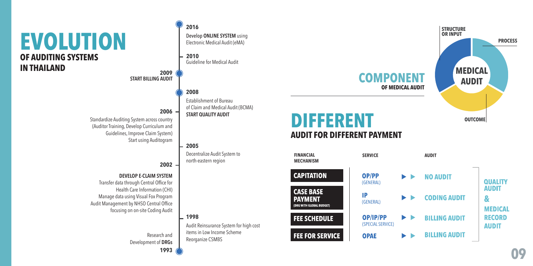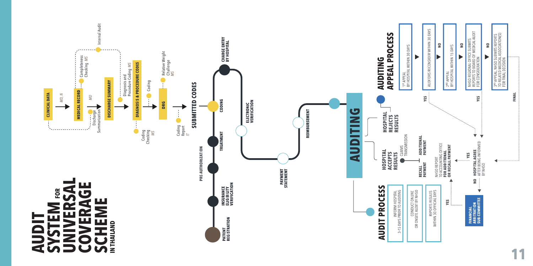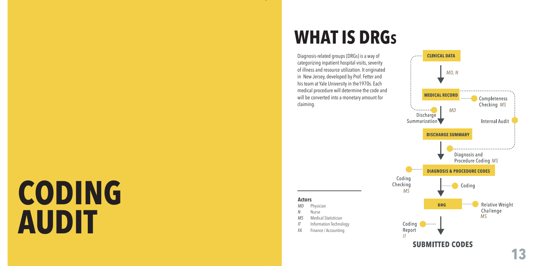# **CODING AUDIT**

## **WHAT IS DRG s**

Diagnosis-related groups (DRGs) is a way of categorizing inpatient hospital visits, severity of illness and resource utilization. It originated in New Jersey, developed by Prof. Fetter and his team at Yale University in the1970s. Each medical procedure will determine the code and will be converted into a monetary amount for claiming.

**Actors**

*MD* Physician *N* Nurse *MS* Medical Statistician

**Information Technology** 

*FA* Finance / Accounting

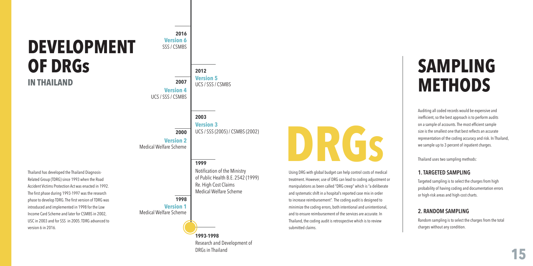### **DEVELOPMENT OF DRGs IN THAILAND**

**2003 2012 2007 2000** UCS / SSS / CSMBS SSS / CSMBS UCS / SSS / CSMBS **Version 3 Version 5 Version 4 Version 2** Medical Welfare Scheme

**2016**

**Version 6**

Thailand has developed the Thailand Diagnosis-Related Group (TDRG) since 1993 when the Road Accident Victims Protection Act was enacted in 1992. The first phase during 1993-1997 was the research phase to develop TDRG. The first version of TDRG was introduced and implemented in 1998 for the Low Income Card Scheme and later for CSMBS in 2002, USC in 2003 and for SSS in 2005. TDRG advanced to version 6 in 2016.

**1993-1998 1999 1998** Notification of the Ministry of Public Health B.E. 2542 (1999) Re. High Cost Claims Medical Welfare Scheme UCS / SSS (2005) / CSMBS (2002) **Version 1** Medical Welfare Scheme

Research and Development of

DRGs in Thailand



Using DRG with global budget can help control costs of medical treatment. However, use of DRG can lead to coding adjustment or manipulations as been called "DRG creep" which is "a deliberate and systematic shift in a hospital's reported case mix in order to increase reimbursement". The coding audit is designed to minimize the coding errors, both intentional and unintentional, and to ensure reimbursement of the services are accurate. In Thailand, the coding audit is retrospective which is to review submitted claims.

## **SAMPLING METHODS**

Auditing all coded records would be expensive and inefficient, so the best approach is to perform audits on a sample of accounts. The most efficient sample size is the smallest one that best reflects an accurate representation of the coding accuracy and risk. In Thailand, we sample up to 3 percent of inpatient charges.

Thailand uses two sampling methods:

### **1. TARGETED SAMPLING**

Targeted sampling is to select the charges from high probability of having coding and documentation errors or high-risk areas and high-cost charts.

### **2. RANDOM SAMPLING**

Random sampling is to select the charges from the total charges without any condition.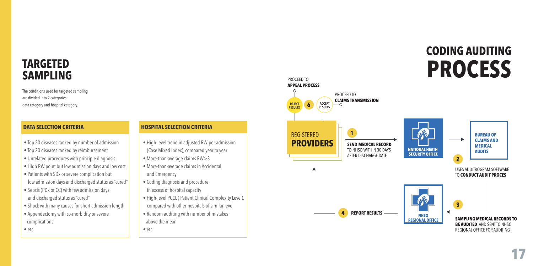### **TARGETED SAMPLING**

The conditions used for targeted sampling are divided into 2 categories: data category and hospital category.

- Top 20 diseases ranked by number of admission
- Top 20 diseases ranked by reimbursement
- Unrelated procedures with principle diagnosis
- High RW point but low admission days and low cost
- Patients with SDx or severe complication but low admission days and discharged stutus as "cured"
- Sepsis (PDx or CC) with few admission days and discharged stutus as "cured"
- Shock with many causes for short admission length
- Appendectomy with co-morbidity or severe complications
- etc.

### **DATA SELECTION CRITERIA HOSPITAL SELECTION CRITERIA**

- High-level trend in adjusted RW-per-admission (Case Mixed Index), compared year to year
- More-than-average claims RW>3
- More-than-average claims in Accidental and Emergency
- Coding diagnosis and procedure
- in excess of hospital capacity
- High-level PCCL ( Patient Clinical Complexity Level),
- compared with other hospitals of similar level
- Random auditing with number of mistakes above the mean

• etc.



**CODING AUDITING**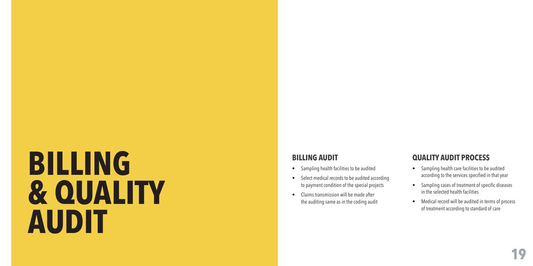# **BILLING & QUALITY AUDIT**

### **BILLING AUDIT**

- Sampling health facilities to be audited
- Select medical records to be audited according to payment condition of the special projects
- Claims transmission will be made after the auditing same as in the coding audit

### **QUALITY AUDIT PROCESS**

- Sampling health care facilities to be audited according to the services specified in that year
- Sampling cases of treatment of specific diseases in the selected health facilities
- Medical record will be audited in terms of process of treatment according to standard of care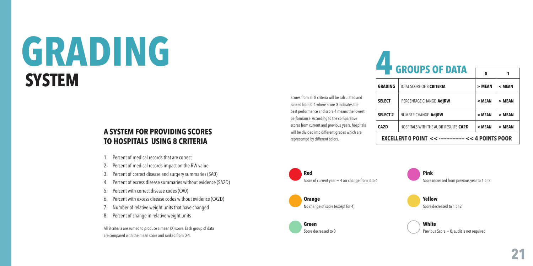## **GRADING SYSTEM**

### **A SYSTEM FOR PROVIDING SCORES TO HOSPITALS USING 8 CRITERIA**

- 1. Percent of medical records that are correct
- 2. Percent of medical records impact on the RW value
- 3. Percent of correct disease and surgery summaries (SA0)
- 4. Percent of excess disease summaries without evidence (SA2D)
- 5. Percent with correct disease codes (CA0)
- 6. Percent with excess disease codes without evidence (CA2D)
- Number of relative weight units that have changed
- 8. Percent of change in relative weight units

All 8 criteria are sumed to produce a mean (X) score. Each group of data are compared with the mean score and ranked from 0-4.

Scores from all 8 criteria will be calculated and ranked from 0-4 where score 0 indicates the best performance and score 4 means the lowest performance. According to the comparative scores from current and previous years, hospitals will be divided into different grades which are represented by different colors.

| <b>Example 12 GROUPS OF DATA</b>                                            |                                       |          |          |
|-----------------------------------------------------------------------------|---------------------------------------|----------|----------|
|                                                                             |                                       | $\Omega$ | 1        |
| <b>GRADING</b>                                                              | TOTAL SCORE OF 8 <b>CRITERIA</b>      | $>$ MEAN | < MEAN   |
| <b>SELECT</b>                                                               | PERCENTAGE CHANGE AdjRW               | $<$ MEAN | $>$ MEAN |
| <b>SELECT 2</b>                                                             | NUMBER CHANGE AdjRW                   | < MEAN   | $>$ MEAN |
| CA2D                                                                        | HOSPITALS WITH THE AUDIT RESULTS CA2D | < MEAN   | > MEAN   |
| <b>EXCELLENT O POINT &lt;&lt; ------------------ &lt;&lt; 4 POINTS POOR</b> |                                       |          |          |



**Pink**  Score increased from previous year to 1 or 2

**Yellow** Score decreased to 1 or 2

**White** Previous Score = 0, audit is not required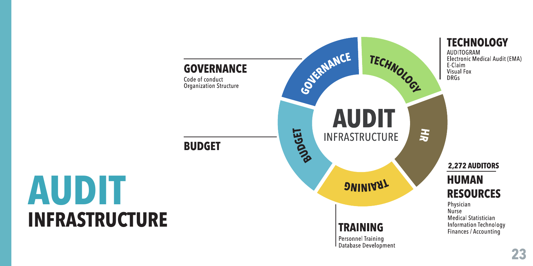

# **AUDIT INFRASTRUCTURE**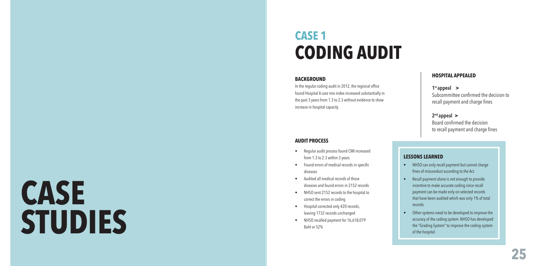# **CASE STUDIES**

## **CASE 1 CODING AUDIT**

### **BACKGROUND**

In the regular coding audit in 2012, the regional office found Hospital A case mix index increased substantially in the past 3 years from 1.3 to 2.3 without evidence to show increase in hospital capacity.

### **AUDIT PROCESS**

- Regular audit process found CMI increased from 1.3 to 2.3 within 3 years
- Found errors of medical records in specific diseases
- Audited all medical records of those diseases and found errors in 2152 records
- NHSO sent 2152 records to the hospital to correct the errors in coding
- Hospital corrected only 420 records, leaving 1732 records unchanged
- NHSO recalled payment for 16,618,079 Baht or 52%

### **HOSPITAL APPEALED**

**1st appeal >** Subcommittee confirmed the decision to recall payment and charge fines

**2nd appeal >** Board confirmed the decision to recall payment and charge fines

### **LESSONS LEARNED**

- NHSO can only recall payment but cannot charge fines of misconduct according to the Act.
- Recall payment alone is not enough to provide incentive to make accurate coding since recall payment can be made only on selected records that have been audited which was only 1% of total records.
- Other systems need to be developed to improve the accuracy of the coding system. NHSO has developed the "Grading System" to improve the coding system of the hospital.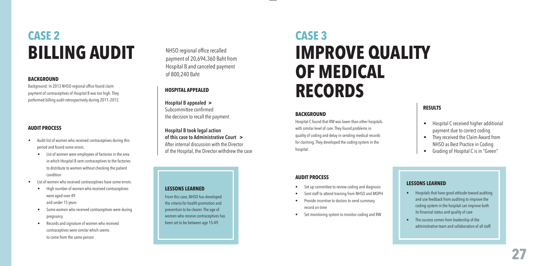## **CASE 2 BILLING AUDIT**

### **BACKGROUND**

Background: In 2013 NHSO regional office found claim payment of contraceptives of Hospital B was too high. They performed billing audit retrospectively during 2011–2012.

### **AUDIT PROCESS**

- Audit list of women who received contraceptives during this period and found some errors:
	- List of women were employees of factories in the area in which Hospital B sent contraceptives to the factories to distribute to women without checking the patient condition
- List of women who received contraceptives have some errors:
	- High number of women who received contraceptives were aged over 49 and under 15 years
	- Some women who received contraceptives were during pregnancy
	- Records and signature of women who received contraceptives were similar which seems to come from the same person

NHSO regional office recalled payment of 20,694,360 Baht from Hospital B and canceled payment of 800,240 Baht

### **HOSPITAL APPEALED**

**Hospital B appealed >** Subcommittee confirmed the decision to recall the payment

**Hospital B took legal action of this case to Administrative Court >** After internal discussion with the Director of the Hospital, the Director withdrew the case

#### **LESSONS LEARNED**

From this case, NHSO has developed the criteria for health promotion and prevention to be clearer. The age of women who receive contraceptives has been set to be between age 15-49.

## **CASE 3 IMPROVE QUALITY OF MEDICAL RECORDS**

### **BACKGROUND**

Hospital C found that RW was lower than other hospitals with similar level of care. They found problems in quality of coding and delay in sending medical records for claiming. They developed the coding system in the hospital.

### **RESULTS**

- Hospital C received higher additional payment due to correct coding
- They received the Claim Award from NHSO as Best Practice in Coding
- Grading of Hospital C is in "Green"

### **AUDIT PROCESS**

- Set up committee to review coding and diagnosis
- Sent staff to attend training from NHSO and MOPH
- Provide incentive to doctors to send summary record on time
- Set monitoring system to monitor coding and RW

### **LESSONS LEARNED**

- Hospitals that have good attitude toward auditing and use feedback from auditing to improve the coding system in the hospital can improve both its financial status and quality of care
- The success comes from leadership of the administrative team and collaboration of all staff.